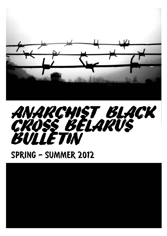



## SPRING - SUMMER 2012

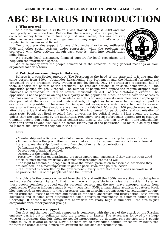## ABC BELARUS INTRODUCTION

## **1. Who are we?**

As a stable initiative, ABC-Belarus was started in August 2009 and has been pretty active since then. Before this there were just a few people who collected money from time to time only if it was needed; this was not very effective, as we were not able to get much money urgently, that's why the regular initiative was established.

Our group provides support for anarchist, anti-authoritarian, antifascist, FNB and other social activists under repression, when the problems are connected with their activity, though each case is taken into consideration individually.

We provide legal assistance, financial support for legal procedures and help with the information spread.

We raise money from the people concerned at the concerts, during general meetings or from organised solidarity tours.

### **2. Political surroundings in Belarus.**

Belarus is a post-Soviet autocracy. The President is the head of the state and it is one and the same person from 1994 - Alexander Lukashenko. The Parliament and the National Assembly are controlled by the president. Party system is not developed. Only 15 parties are registered, half of them supports the politics of the president. The rest are nationalist or social-democratic. All the opposition parties are pro-European. The number of people who oppose the regime dropped from hundreds of thousands in 1994 to several thousands in 2010 as the dictatorship evolved. The opposition is not so popular among the majority of the population, since it doesn't have the access to the mass media to spread alternative ideas, and fails to keep even its own members. People grow disappointed at the opposition and their methods, though they have never had enough support to overpower the president. There are 5-6 independent newspapers which were banned for several years some time ago. The elections are almost visibly falsified. More than 700 people were arrested after the presidential elections in 2010, about 50 – imprisoned for participation and organisation of mass riots. People get fired, expelled from universities for political activity. Mass events are illegal unless they are sanctioned by the authorities. Preventive arrests before mass actions are in practice. Common people don't take interest in politics and despite the fact that they don't like Lukashenko, they don't think anyone else could be better. Elderly pat of the population like his rule as they think he is more similar to what they had in the USSR.

Laws:

- Membership and activity on behalf of an unregistered organisation – up to 3 years of prison

- Extremist law – the prohibition on ideas that call to the regime change (includes extremist

literature, membership, founding and financing of extremist organizations)

- Defamation or humiliation of the president

- Desecration of national symbols

- Discredit of the motherland

- Press law – the ban on distributing the newspapers and magazines if they are not registered officially, most people are usually detained for spreading leaflets as well.

- The right to assemble – people must have the official permission to assemble, otherwise they are detained. It's almost impossible to get the permission for a political action.

- The Internet is controlled by the government – every Internet-cafe or a Wi-Fi network must be provide the IDs of the people who use the Internet..

Anarchists in the country emerged from the 90s and until the 2000s were active in social sphere and workers'/students' rights. At that time it was still possible to criticise the president. Later on these people somehow dropped out for personal reasons and the next wave emerged, mostly from punk scene. Western influence made it way – veganism, FNB, animal rights activists, squatters, black bloc appeared. In opposition to these practices was an anarchist organisation «Revolutionary action» which criticised lifestyle anarchism and stood up for social anarchism and direct action. Both groups developed and at some point outnumbered some opposition movements at common action against Chernobyl. It doesn't mean though that anarchists are really huge in numbers – the size is just comparable with other political groups.

## **3. What cases we support**

Our first and the most difficult campaign is connected with the case of the attack on the Russian embassy, carried out in solidarity with the prisoners in Russia. The attack was followed by a huge wave of repression, that left about 50 people interrogated, 17 detained on suspicion and 8 people found guilty of several episodes. Now 3 of them are acknowledged political prisoners by Belarusian right-watch organisations, 3 more are awaiting the decision concerning them.

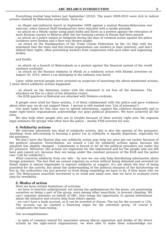Everything started long before last September (2010). The years 2009-2010 were rich in radical actions claimed by Belarusian anarchists. Such as:

- an illegal anti-militarist march in September 2009 against a mutual Russian-Belarusian war exercise, when General Staff headquarters were attacked with a smoke grenade.

- an attack on a Minsk casino using paint bulbs and flares as a protest against the relocation of most Russian casinos to Belarus after the law banning casinos in Russia had been passed.

- an attack on a police station in Soligorsk during the days of common action against the police (windows were broken and a flare was thrown inside)

- an attack on the Headquarters of the Trade Unions Federation on the 1st May with the statement that the state and this formal organisation use workers in their interests, and don't defend their rights, often preventing workers from cooperation with each other and organizing strikes.

and finally:

- an attack on a branch of Belarusbank as a protest against the financial system of the world (molotov-cocktails)

- an attack on the Russian embassy in Minsk as a solidarity action with Khimki arrestees on August 30, 2010, where a car belonging to the embassy was burnt.

Later, while several people were arrested on suspicion of launching the above-mentioned actions, 2 more direct solidarity actions happened:

- an attack on the detention center with the statement to set free all the detainees. The attackers set fire to a door of the detention centre.

- the KGB quarters in Bobruisk are attacked with Molotov-cocktails.

8 people were tried for these actions, 2 of them collaborated with the police and gave evidence about other guy, we do not support them. 1 person is still wanted (see 'List of prisoners')

Our main tasks for this case was to spread information, support the relatives financially and to make right-watch organisations acknowledge our guys political prisoners. We have achieved all the aims.

We also help other people who are in trouble because of their activity right now. We organise legal seminars for groups who often face the police – mostly FNB activists for now.

## **4. Solidarity actions**

We welcome absolutely any kind of solidarity actions, this is also the opinion of the prisoners. Anything, from info-evening to burning a police car in solidarity is equally important, especially for the prisoners.

We don't have the illusion that any solidarity action may help our guys get out earlier because of the political situation. Nevertheless, we issued a Call for solidarity actions again, because the situation has slightly changed – Lukashenko is forced to let all the political prisoners out under the EU pressure. Moreover, the actions are important for the imprisoned and for the people who are left here and cannot act, because they are being under the constant pressure of the KGB and the police (see 'Call for solidarity').

What concerns solidarity from our side – by now we can only help distributing information about foreign prisoners. The fact that we cannot organise an action without being detained and arrested (or fined) makes it almost impossible to express solidarity or support. It's not about the fear of being punished for the activity, but about the understanding of the political situation of the dictatorship we live in; the authorities can just prevent us from doing something we have to do, if they know who we are. The Belarussian anarchist movement is so weak and small now, that we have to evaluate every step for sensibility.

## **5. Modes of action**

Here we have certain limitations of activism:

- we have to function underground: not having the spokesperson for the press, not positioning ourselves as being a part of the group, even among other anarchists, to prevent cheating. We can't organise seminars on behalf of ABC, thus losing the opportunity to spread information about the initiative and receive help from others openly.

- we can't have a bank account, as it can be arrested or frozen. The tax for the account is 12%. The account can be claimed a financing organ for the extremist group. Of course it complicates the fund-raising.

Our accomplishments:

- in spite of common hatred for anarchists among liberal opposition and dislike of the direct actions by the right-watch organisations, we were able to make them acknowledge our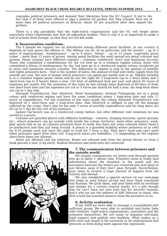comrades political prisoners and demand their liberation form the EU Council. It led to the fact that 2 of them were offered to sign a petition for pardon, but they refused. Now out of more than 40 political prisoners in Belarus, about 30 are acquitted after they signed the petition.

There is a big possibility that the right-watch organisations and the EU will forget about anarchists when Lukashenko sets free all opposition leaders. That is why it is so important to make a roll of actions from Europe, so that they are not left aside.

### **6. Incarceration conditions**

The 6 people we support are all distributed among different penal facilities. In our country it depends on how grave the offense is. The offense can be 'of no particular risk for society' – up to 2 years of imprisonment, 'misdemeanor' – up to 6 years, 'felony' – up to 12 years, 'especially grave crime' – more than 12 years of prison. Among penal facilities the most spread are penal colonies and prisons. Penal colonies have different regimes – common, reinforced, strict and maximum security. Those who committed a misdemeanor for the 1st time go to a common regime colony, those who committed a felony of misdemeanor for the 2nd time go to a reinforced regime colony, recidivists go to strict and maximum security colonies. The difference in regime is only in the amount of benefits and rights prisoners have – that is the number of dates, the amount of food and cloths supply from the outside per year, the sum of money which prisoners can spend per month and so on. Mikalai Dziadok is in a common regime penal colony and he has the right for 3 long-term (up to 3 days) dates and 3 short-term (up to 4 hours) dates a year, 120 kilos of additional food per year and about 20 euros of expenses per month. For the violations of the rules he has already been deprived of 60 kilos of food, one short-term date and his expenses are cut to 3 euros per month for half a year; his long-term dates are cut to 1 day only.

Alexandr Frantskevich, Ihar Alinevich, Pavel Syramolatau, Artsiom Prakapenka are in a penal colony with reinforced regime and have the same conditions minus 1 long-term date and only 17 euros of expenditures. For the violations of the rules inside the colony Alexandr Frantskevich was deprived of 1 short-term and 1 long-term date. Ihar Alinevich is obliged to pay off the damage inflicted by the crime, that's why he has only 3 euros of monthly expenditures and his long dates are all cut to 1 day for the rest of his sentence.

Jauhen Vas'kovich was in a reinforced colony before, but after different rule violations he was moved to a prison.

Colonies are guarded places with different buildings – canteen, sleeping barracks, sports ground, etc., where prisoners can go outside (still inside the colony territory), meet other prisoners, work, play sports and so on. In colonies prisoners have to work, but there are some colonies where there's no production and they just hang around. A prison is a guarded building where prisoners sit in cells for 6-10 people each and have the right to walk for 1 hour a day. They don't work and can't meet other prisoners apart from their cell. Long-term dates are forbidden, 1-2 (depending on the regime) short-term dates are allowed.

Dates are allowed only for relatives. Books are allowed only from the prison library or from 2 book parcels a year (2 kg each). Radical literature and print-outs are censored.



### **7. The communication between prisoners and the outside world.**

We usually communicate via letters and through parents who go to dates + phone calls. Prisoners seem to really lack information about the situation in the world and the movement because the letters are censored and sent back or just thrown away if they don't pass through. Nevertheless, guys seem to receive a huge amount of support from the country and abroad.

We also established a special service on our web-page that helps to send letters on-line and have them translated into Russian. We print them, and post them with an envelope and stamps for a certain country inside. It's a pity though that we can't have our own post box for security reasons, that's why we put the address of ABC-Moscow in stead, who then e-mail the scanned answers from the prisoners to us.

## **8. Activity evaluation**

From 2009 we were able to manage a consolidated selfsufficient group. We were able to establish and foster links with relatives, right-watch organisations, journalists and the prisoners themselves. We are ready to organise self-study, legal support and publish own booklets. What makes us a little slow and closed is the necessity to be underground that prevents us from doing more against the repression.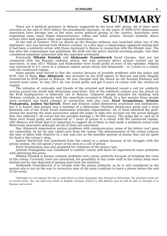## **SUMMARY**

There are 6 political prisoners in Belarus supported by the local ABC group. All of them were arrested at the end of 2010 before the presidential elections. In the years of 2009-2010 Belarussian anarchists have become one of the most active political groups in the country. Anarchists were organizing some small illegal demonstrations, rallies and other actions. Several symbolic direct actions were held against state and capitalist institutions.

At the end of summer 2010 an attack on the Russian embassy was launched when one of the diplomats' cars was burned with Molotov cocktail. In a few days a communique appeared stating that it had been a solidarity action with those repressed in Russia in connection with the Khimki case. The day after the communique was published, the KGB and the police started arresting people, who they considered somehow connected with the anarchist movement.

Eventually Mikalai Dziadok and Aliaksandr Frantskievich faced charges, that are not connected with the Russian embassy attack, but with previous direct actions carried out by anarchists. In may 2011 Mikalai and Aliaksandar were found quilty of most of the episodes. Mikalai was sentenced to 4.5 years in a common regime penal colony and Aliaksandr – to 3 years in a colony with the reinforced regime.

Some people were forced to flee the country because of possible problems with the police and KGB. One of them, **Ihar Alinievich**, was arrested by the KGB agents in Moscow and then illegally transferred to KGB prison in Belarus. He was charged with the attack on the Russian Embassy and several more cases. In may 2011 he was found guilty and got 8 years of colony with the reinforced regime.

The initiative of comrades and friends of the arrested and detained issued a call for solidarity actions around the world with Belarusian anarchists. One of the solidarity actions was the attack on the KGB headquarters in Bobruisk city in Belarus. Unknown people attacked the building with Molotov cocktails in solidarity with the anarchists arrested in Minsk. In a few months three people were arrested and faced charges in connection with this case: Pavel Syramolatau, Artsiom **Prakapenka, Jauhen Vas'kovich**. Pavel and Artsiom called themselves anarchists and antifascists, but it is known that Jauhen was a member of a Belarusian Christian Democracy party and a local Bobruisk cell of the Youth Front (nationalist orthodox organisation). All of them admitted the quilt. During the hearing the state prosecutor asked the judge to take into account not the actual damage that was inflicted  $\left(-40 \text{ euros}\right)$  but the possible damage  $\left(-40\text{ 000 euros}\right)$ . The judge did so, and all of them were found guilty and sentenced to 7 years of prison in a colony with the reinforced regime. ABC-Belarus still think that it is important to support all of them as they made a solidarity action with Belarusian anarchists although not all of them are anarchists.

Thar Alinievich experiences serious problems with communication: some of his letters can't pass the censorship, by far he only called once from the colony. The administration of the colony reduces the time of dates with relatives to 1 day and cuts on the possible amount of money that can be spent for food in the colony's shop.

Jauhen Vas' kovich was transfered from the colony to a prison because of his struggle with the prison system. He will spend 3 years of his term in a cell of prison.

Pavel Syramolatau was also punished for violations of the prison rues.

Artsiom Prakapenka was transfered to another colony and there he experienced some problems with delivering the press.

Mikalai Dziadok is having constant problems with colony authority because of breaking the rules of the colony. Currently visits are shortened, his possibility to buy some stuff in the colony shop were limited and he was deprived of getting food from the relatives.

Aliaksandr Frantskievich is in trouble with the prison authority, as he is still considered as the person who is not on the way to correction (one of the main condition to leave a prison before the end of the term).

\*Although it is not against the law to send letters in other languages than Russian or Belarusian, the prisoners seem not to receive them. You can send your letter in English, German, French to ABC-Belarus and we will be able to translate it to Russian and send it.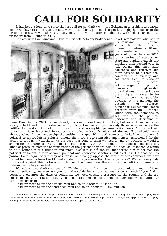# **CALL FOR SOLIDARITY**

It has been a long time since the last call for solidarity with the Belarusian anarchists appeared. Today we have to admit that the new wave of solidarity is needed urgently to help them out from the prison. That's why we call you to participate in days of action in solidarity with belarusian political prisoners from 30 june to 2 july.

The activists Ihar Alinevich, Mikalai Dziadok, Artsiom Prakapenka, Pavel Syramolatau, Aliaksandr



Frantskievich, Jauhen Vas'kovich that were detained in autumn 2010 and then sentenced to 3 to 8 years of prison in May 2011 for a series of attacks on state and capital symbols are finishing their second year in jail. During this time their comrades and relatives did their best to help them feel comfortable in custody and set them free. In October 2011 they were acknowledged political<br>prisoners by right-watch prisoners by right-watch organizations. This fact gave them bigger chances to be freed as soon as possible, because at the moment the President of Belarus, Alexander Lukashenko, faces pressure from the European Union with the demands to set free all the political prisoners and decriminalize

them. From August 2011 he has already pardoned more than 30 of them, but none of our comrades was granted freedom. Lukashenko said publicly, that he will pardon only those, who will write the petition for pardon, thus admitting their guilt and asking him personally for mercy. All the rest will remain in prison, he stated. In fact two comrades, Mikalai Dziadok and Alexandr Frantskevich were already asked if they want to sign the petition in August 2011, both refuses to do it. Now there are 13 political prisoners left in Belarus, among them are 5 our comrades and 1 more, imprisoned for the action of solidarity with them. We are sure that none of them will ask for mercy, because it would a shame for an anarchist or any honest person to do so. All the prisoners are experiencing different kinds of pressure from the administration of the prisons they are held in\*, because Lukashenko wants to be a winner in this situation and make it as if it is not the EU that forces him to set free the political prisoners in fear of more political and economic sanctions, but as if it is his good will to pardon them, again only if they ask for it. We strongly oppose the fact that our comrades are now traded for benefits form the EU and condemn the pressure that they experience\*. We call everybody to protest against this tortures and demand the immediate liberation of the political prisoners of Belarus, including anarchists.

We welcome solidarity actions of ANY kind starting from now on to accumulate amount of it on days of solidarity, we also ask you to make solidarity actions at least once a month if you find it possible even after the days of solidarity. We need constant pressure on the regime and the EU politicians in this situation. Let it be a non-stopping roll of action all over the world, until our comrades are free!

To know more about the attacks, visit abc-belarus.org/?p=6&lang=en

To know more about the sentences, visit abc-belarus.org/?p=326&lang=en

\*The cases of pressure on the prisoners include: transfers to another penal institutions, deprivation of food supply from the outside, deprivation and cuts on the dates with relatives, deprivation of phone calls, delays and gaps in letters' supply, placing to the solitary cell, transfers to a penal facility with special regime, etc.